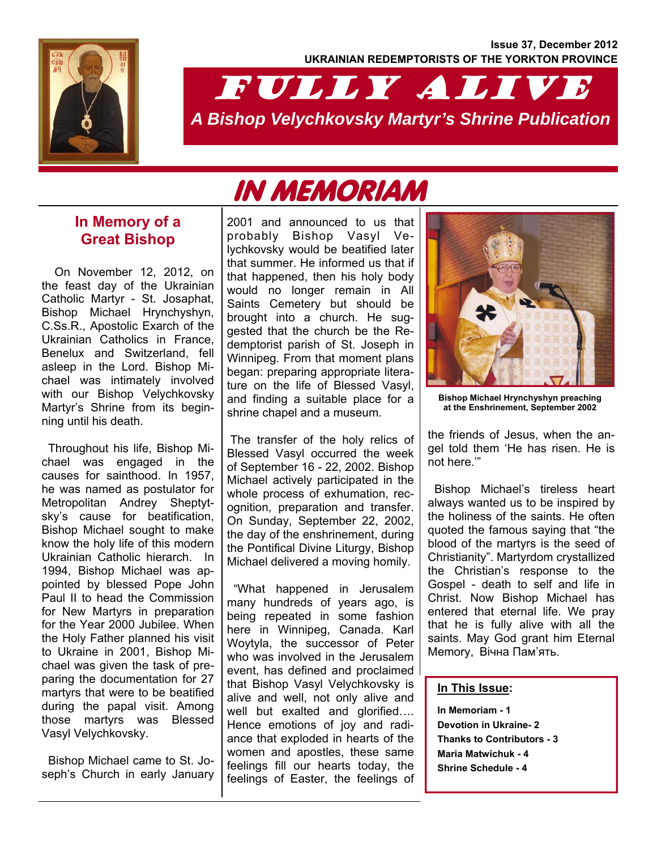**Issue 37, December 2012 UKRAINIAN REDEMPTORISTS OF THE YORKTON PROVINCE** 



# FULLY ALIVE *A Bishop Velychkovsky Martyr's Shrine Publication*

# IN MEMORIAM

### **In Memory of a Great Bishop**

On November 12, 2012, on the feast day of the Ukrainian Catholic Martyr - St. Josaphat, Bishop Michael Hrynchyshyn, C.Ss.R., Apostolic Exarch of the Ukrainian Catholics in France, Benelux and Switzerland, fell asleep in the Lord. Bishop Michael was intimately involved with our Bishop Velychkovsky Martyr's Shrine from its beginning until his death.

 Throughout his life, Bishop Michael was engaged in the causes for sainthood. In 1957, he was named as postulator for Metropolitan Andrey Sheptytsky's cause for beatification, Bishop Michael sought to make know the holy life of this modern Ukrainian Catholic hierarch. In 1994, Bishop Michael was appointed by blessed Pope John Paul II to head the Commission for New Martyrs in preparation for the Year 2000 Jubilee. When the Holy Father planned his visit to Ukraine in 2001, Bishop Michael was given the task of preparing the documentation for 27 martyrs that were to be beatified during the papal visit. Among those martyrs was Blessed Vasyl Velychkovsky.

 Bishop Michael came to St. Joseph's Church in early January

2001 and announced to us that probably Bishop Vasyl Velychkovsky would be beatified later that summer. He informed us that if that happened, then his holy body would no longer remain in All Saints Cemetery but should be brought into a church. He suggested that the church be the Redemptorist parish of St. Joseph in Winnipeg. From that moment plans began: preparing appropriate literature on the life of Blessed Vasyl, and finding a suitable place for a shrine chapel and a museum.

 The transfer of the holy relics of Blessed Vasyl occurred the week of September 16 - 22, 2002. Bishop Michael actively participated in the whole process of exhumation, recognition, preparation and transfer. On Sunday, September 22, 2002, the day of the enshrinement, during the Pontifical Divine Liturgy, Bishop Michael delivered a moving homily.

 "What happened in Jerusalem many hundreds of years ago, is being repeated in some fashion here in Winnipeg, Canada. Karl Woytyla, the successor of Peter who was involved in the Jerusalem event, has defined and proclaimed that Bishop Vasyl Velychkovsky is alive and well, not only alive and well but exalted and glorified…. Hence emotions of joy and radiance that exploded in hearts of the women and apostles, these same feelings fill our hearts today, the feelings of Easter, the feelings of



**Bishop Michael Hrynchyshyn preaching at the Enshrinement, September 2002** 

the friends of Jesus, when the angel told them 'He has risen. He is not here.'"

 Bishop Michael's tireless heart always wanted us to be inspired by the holiness of the saints. He often quoted the famous saying that "the blood of the martyrs is the seed of Christianity". Martyrdom crystallized the Christian's response to the Gospel - death to self and life in Christ. Now Bishop Michael has entered that eternal life. We pray that he is fully alive with all the saints. May God grant him Eternal Memory, Вічна Пам'ять.

#### **In This Issue:**

**In Memoriam - 1 Devotion in Ukraine- 2 Thanks to Contributors - 3 Maria Matwichuk - 4 Shrine Schedule - 4**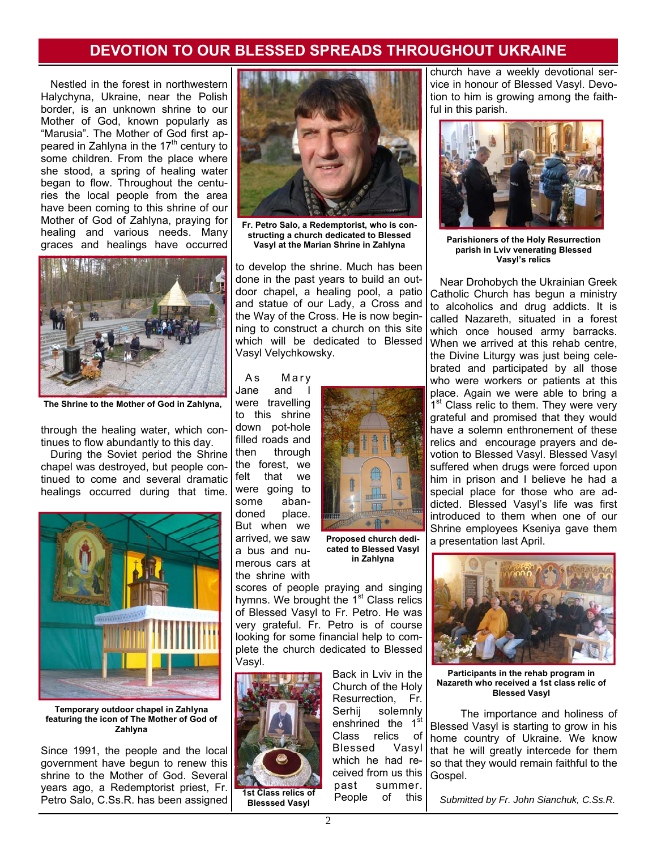## **DEVOTION TO OUR BLESSED SPREADS THROUGHOUT UKRAINE**

Nestled in the forest in northwestern Halychyna, Ukraine, near the Polish border, is an unknown shrine to our Mother of God, known popularly as "Marusia". The Mother of God first appeared in Zahlyna in the  $17<sup>th</sup>$  century to some children. From the place where she stood, a spring of healing water began to flow. Throughout the centuries the local people from the area have been coming to this shrine of our Mother of God of Zahlyna, praying for healing and various needs. Many graces and healings have occurred



**The Shrine to the Mother of God in Zahlyna,** 

through the healing water, which continues to flow abundantly to this day.

During the Soviet period the Shrine chapel was destroyed, but people continued to come and several dramatic healings occurred during that time.



**Temporary outdoor chapel in Zahlyna featuring the icon of The Mother of God of Zahlyna** 

Since 1991, the people and the local government have begun to renew this shrine to the Mother of God. Several years ago, a Redemptorist priest, Fr. Petro Salo, C.Ss.R. has been assigned



**Fr. Petro Salo, a Redemptorist, who is constructing a church dedicated to Blessed Vasyl at the Marian Shrine in Zahlyna** 

to develop the shrine. Much has been done in the past years to build an outdoor chapel, a healing pool, a patio and statue of our Lady, a Cross and the Way of the Cross. He is now beginning to construct a church on this site which will be dedicated to Blessed Vasyl Velychkowsky.

As Mary Jane and were travelling to this shrine down pot-hole filled roads and then through the forest, we felt that we were going to some abandoned place. But when we arrived, we saw a bus and numerous cars at the shrine with



**Proposed church dedicated to Blessed Vasyl in Zahlyna**

scores of people praying and singing hymns. We brought the 1<sup>st</sup> Class relics of Blessed Vasyl to Fr. Petro. He was very grateful. Fr. Petro is of course looking for some financial help to complete the church dedicated to Blessed Vasyl.



**Blesssed Vasyl** 

Back in Lviv in the Church of the Holy Resurrection, Fr. Serhij solemnly enshrined the 1<sup>st</sup> Class relics of Blessed Vasyl which he had received from us this past summer. People of this

church have a weekly devotional service in honour of Blessed Vasyl. Devotion to him is growing among the faithful in this parish.



**Parishioners of the Holy Resurrection parish in Lviv venerating Blessed Vasyl's relics** 

Near Drohobych the Ukrainian Greek Catholic Church has begun a ministry to alcoholics and drug addicts. It is called Nazareth, situated in a forest which once housed army barracks. When we arrived at this rehab centre, the Divine Liturgy was just being celebrated and participated by all those who were workers or patients at this place. Again we were able to bring a 1<sup>st</sup> Class relic to them. They were very grateful and promised that they would have a solemn enthronement of these relics and encourage prayers and devotion to Blessed Vasyl. Blessed Vasyl suffered when drugs were forced upon him in prison and I believe he had a special place for those who are addicted. Blessed Vasyl's life was first introduced to them when one of our Shrine employees Kseniya gave them a presentation last April.



**Participants in the rehab program in Nazareth who received a 1st class relic of Blessed Vasyl** 

 The importance and holiness of Blessed Vasyl is starting to grow in his home country of Ukraine. We know that he will greatly intercede for them so that they would remain faithful to the Gospel.

*Submitted by Fr. John Sianchuk, C.Ss.R.*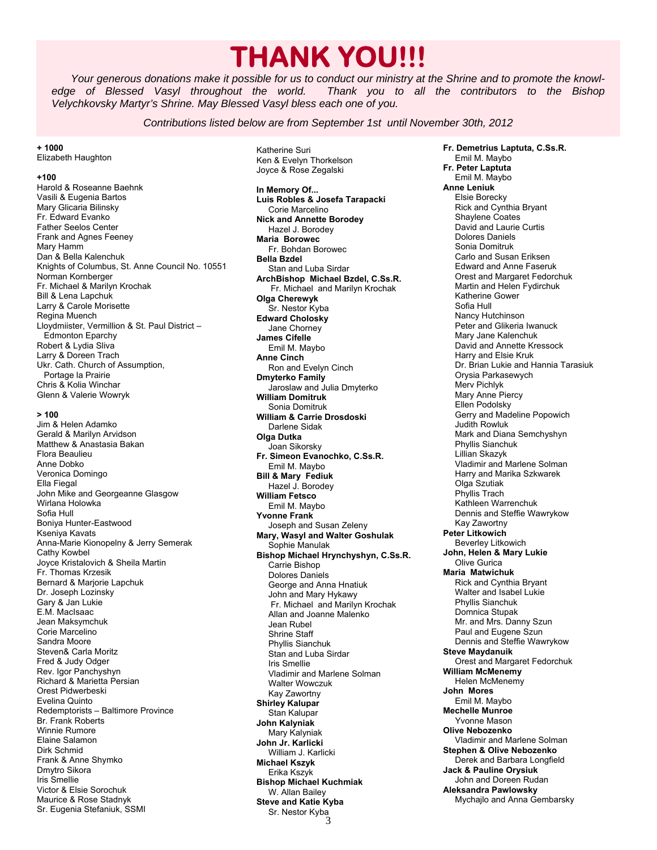# **THANK YOU!!!**

*Your generous donations make it possible for us to conduct our ministry at the Shrine and to promote the knowledge of Blessed Vasyl throughout the world. Thank you to all the contributors to the Bishop Velychkovsky Martyr's Shrine. May Blessed Vasyl bless each one of you.* 

*Contributions listed below are from September 1st until November 30th, 2012* 

**+ 1000**  Elizabeth Haughton

#### **+100**

Harold & Roseanne Baehnk Vasili & Eugenia Bartos Mary Glicaria Bilinsky Fr. Edward Evanko Father Seelos Center Frank and Agnes Feeney Mary Hamm Dan & Bella Kalenchuk Knights of Columbus, St. Anne Council No. 10551 Norman Kornberger Fr. Michael & Marilyn Krochak Bill & Lena Lapchuk Larry & Carole Morisette Regina Muench Lloydmiister, Vermillion & St. Paul District – Edmonton Eparchy Robert & Lydia Sliva Larry & Doreen Trach Ukr. Cath. Church of Assumption, Portage la Prairie Chris & Kolia Winchar Glenn & Valerie Wowryk

**> 100** 

Jim & Helen Adamko Gerald & Marilyn Arvidson Matthew & Anastasia Bakan Flora Beaulieu Anne Dobko Veronica Domingo Ella Fiegal John Mike and Georgeanne Glasgow Wirlana Holowka Sofia Hull Boniya Hunter-Eastwood Kseniya Kavats Anna-Marie Kionopelny & Jerry Semerak Cathy Kowbel Joyce Kristalovich & Sheila Martin Fr. Thomas Krzesik Bernard & Marjorie Lapchuk Dr. Joseph Lozinsky Gary & Jan Lukie E.M. MacIsaac Jean Maksymchuk Corie Marcelino Sandra Moore Steven& Carla Moritz Fred & Judy Odger Rev. Igor Panchyshyn Richard & Marietta Persian Orest Pidwerbeski Evelina Quinto Redemptorists – Baltimore Province Br. Frank Roberts Winnie Rumore Elaine Salamon Dirk Schmid Frank & Anne Shymko Dmytro Sikora Iris Smellie Victor & Elsie Sorochuk Maurice & Rose Stadnyk Sr. Eugenia Stefaniuk, SSMI

Katherine Suri Ken & Evelyn Thorkelson Joyce & Rose Zegalski

3 **In Memory Of... Luis Robles & Josefa Tarapacki**  Corie Marcelino **Nick and Annette Borodey**  Hazel J. Borodey **Maria Borowec**  Fr. Bohdan Borowec **Bella Bzdel**  Stan and Luba Sirdar **ArchBishop Michael Bzdel, C.Ss.R.**  Fr. Michael and Marilyn Krochak **Olga Cherewyk**  Sr. Nestor Kyba **Edward Cholosky**  Jane Chorney **James Cifelle**  Emil M. Maybo **Anne Cinch**  Ron and Evelyn Cinch **Dmyterko Family**  Jaroslaw and Julia Dmyterko **William Domitruk**  Sonia Domitruk **William & Carrie Drosdoski**  Darlene Sidak **Olga Dutka**  Joan Sikorsky **Fr. Simeon Evanochko, C.Ss.R.**  Emil M. Maybo **Bill & Mary Fediuk**  Hazel J. Borodey **William Fetsco**  Emil M. Maybo **Yvonne Frank**  Joseph and Susan Zeleny **Mary, Wasyl and Walter Goshulak**  Sophie Manulak **Bishop Michael Hrynchyshyn, C.Ss.R.**  Carrie Bishop Dolores Daniels George and Anna Hnatiuk John and Mary Hykawy Fr. Michael and Marilyn Krochak Allan and Joanne Malenko Jean Rubel Shrine Staff Phyllis Sianchuk Stan and Luba Sirdar Iris Smellie Vladimir and Marlene Solman Walter Wowczuk Kay Zawortny **Shirley Kalupar**  Stan Kalupar **John Kalyniak**  Mary Kalyniak **John Jr. Karlicki**  William J. Karlicki **Michael Kszyk**  Erika Kszyk **Bishop Michael Kuchmiak**  W. Allan Bailey **Steve and Katie Kyba**  Sr. Nestor Kyba

**Fr. Demetrius Laptuta, C.Ss.R.**  Emil M. Maybo **Fr. Peter Laptuta**  Emil M. Maybo **Anne Leniuk**  Elsie Borecky Rick and Cynthia Bryant Shaylene Coates David and Laurie Curtis Dolores Daniels Sonia Domitruk Carlo and Susan Eriksen Edward and Anne Faseruk Orest and Margaret Fedorchuk Martin and Helen Fydirchuk Katherine Gower Sofia Hull Nancy Hutchinson Peter and Glikeria Iwanuck Mary Jane Kalenchuk David and Annette Kressock Harry and Elsie Kruk Dr. Brian Lukie and Hannia Tarasiuk Orysia Parkasewych Merv Pichlyk Mary Anne Piercy Ellen Podolsky Gerry and Madeline Popowich Judith Rowluk Mark and Diana Semchyshyn Phyllis Sianchuk Lillian Skazyk Vladimir and Marlene Solman Harry and Marika Szkwarek Olga Szutiak Phyllis Trach Kathleen Warrenchuk Dennis and Steffie Wawrykow Kay Zawortny **Peter Litkowich**  Beverley Litkowich **John, Helen & Mary Lukie**  Olive Gurica **Maria Matwichuk**  Rick and Cynthia Bryant Walter and Isabel Lukie Phyllis Sianchuk Domnica Stupak Mr. and Mrs. Danny Szun Paul and Eugene Szun Dennis and Steffie Wawrykow **Steve Maydanuik**  Orest and Margaret Fedorchuk **William McMenemy**  Helen McMenemy **John Mores**  Emil M. Maybo **Mechelle Munroe**  Yvonne Mason **Olive Nebozenko**  Vladimir and Marlene Solman **Stephen & Olive Nebozenko**  Derek and Barbara Longfield **Jack & Pauline Orysiuk**  John and Doreen Rudan **Aleksandra Pawlowsky**  Mychajlo and Anna Gembarsky